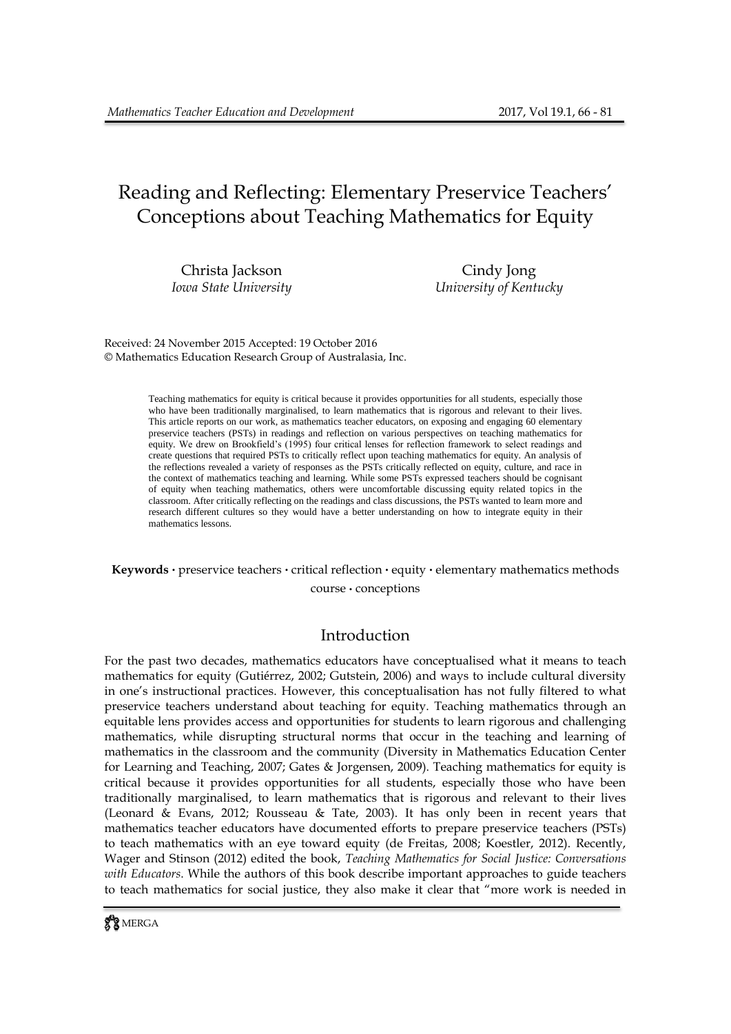# Reading and Reflecting: Elementary Preservice Teachers' Conceptions about Teaching Mathematics for Equity

Christa Jackson Cindy Jong

*Iowa State University University of Kentucky*

Received: 24 November 2015 Accepted: 19 October 2016 © Mathematics Education Research Group of Australasia, Inc.

> Teaching mathematics for equity is critical because it provides opportunities for all students, especially those who have been traditionally marginalised, to learn mathematics that is rigorous and relevant to their lives. This article reports on our work, as mathematics teacher educators, on exposing and engaging 60 elementary preservice teachers (PSTs) in readings and reflection on various perspectives on teaching mathematics for equity. We drew on Brookfield's (1995) four critical lenses for reflection framework to select readings and create questions that required PSTs to critically reflect upon teaching mathematics for equity. An analysis of the reflections revealed a variety of responses as the PSTs critically reflected on equity, culture, and race in the context of mathematics teaching and learning. While some PSTs expressed teachers should be cognisant of equity when teaching mathematics, others were uncomfortable discussing equity related topics in the classroom. After critically reflecting on the readings and class discussions, the PSTs wanted to learn more and research different cultures so they would have a better understanding on how to integrate equity in their mathematics lessons.

# **Keywords .** preservice teachers **.** critical reflection **.** equity **.** elementary mathematics methods

course **.** conceptions

# Introduction

For the past two decades, mathematics educators have conceptualised what it means to teach mathematics for equity (Gutiérrez, 2002; Gutstein, 2006) and ways to include cultural diversity in one's instructional practices. However, this conceptualisation has not fully filtered to what preservice teachers understand about teaching for equity. Teaching mathematics through an equitable lens provides access and opportunities for students to learn rigorous and challenging mathematics, while disrupting structural norms that occur in the teaching and learning of mathematics in the classroom and the community (Diversity in Mathematics Education Center for Learning and Teaching, 2007; Gates & Jorgensen, 2009). Teaching mathematics for equity is critical because it provides opportunities for all students, especially those who have been traditionally marginalised, to learn mathematics that is rigorous and relevant to their lives (Leonard & Evans, 2012; Rousseau & Tate, 2003). It has only been in recent years that mathematics teacher educators have documented efforts to prepare preservice teachers (PSTs) to teach mathematics with an eye toward equity (de Freitas, 2008; Koestler, 2012). Recently, Wager and Stinson (2012) edited the book, *Teaching Mathematics for Social Justice: Conversations with Educators*. While the authors of this book describe important approaches to guide teachers to teach mathematics for social justice, they also make it clear that "more work is needed in

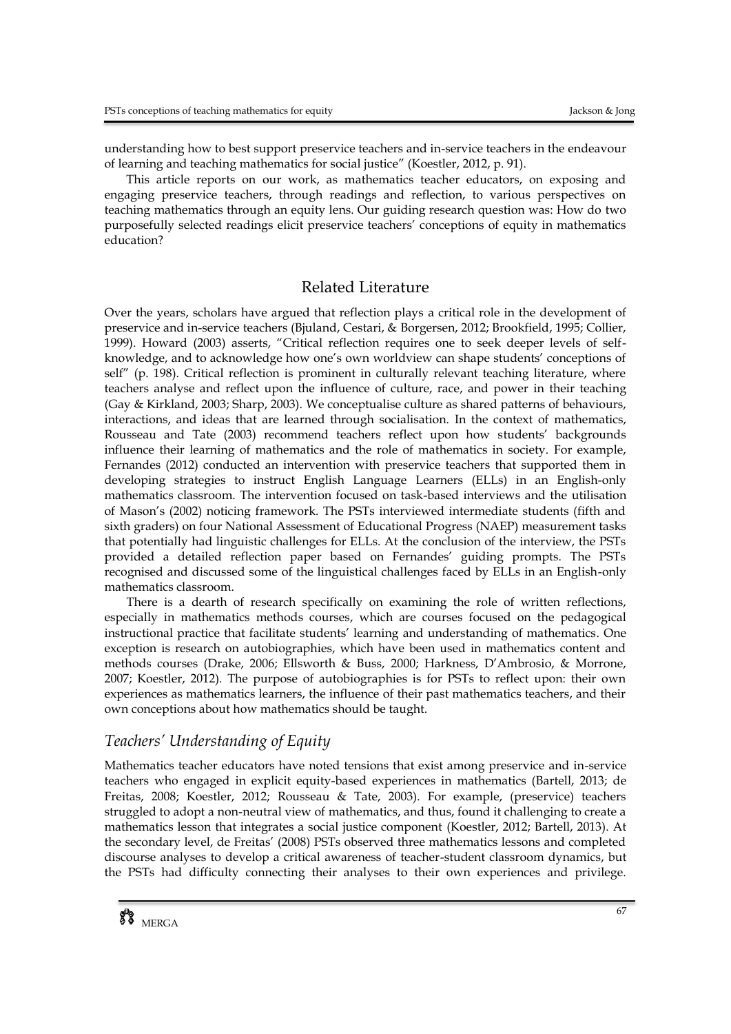understanding how to best support preservice teachers and in-service teachers in the endeavour of learning and teaching mathematics for social justice" (Koestler, 2012, p. 91).

This article reports on our work, as mathematics teacher educators, on exposing and engaging preservice teachers, through readings and reflection, to various perspectives on teaching mathematics through an equity lens. Our guiding research question was: How do two purposefully selected readings elicit preservice teachers' conceptions of equity in mathematics education?

# Related Literature

Over the years, scholars have argued that reflection plays a critical role in the development of preservice and in-service teachers (Bjuland, Cestari, & Borgersen, 2012; Brookfield, 1995; Collier, 1999). Howard (2003) asserts, "Critical reflection requires one to seek deeper levels of selfknowledge, and to acknowledge how one's own worldview can shape students' conceptions of self" (p. 198). Critical reflection is prominent in culturally relevant teaching literature, where teachers analyse and reflect upon the influence of culture, race, and power in their teaching (Gay & Kirkland, 2003; Sharp, 2003). We conceptualise culture as shared patterns of behaviours, interactions, and ideas that are learned through socialisation. In the context of mathematics, Rousseau and Tate (2003) recommend teachers reflect upon how students' backgrounds influence their learning of mathematics and the role of mathematics in society. For example, Fernandes (2012) conducted an intervention with preservice teachers that supported them in developing strategies to instruct English Language Learners (ELLs) in an English-only mathematics classroom. The intervention focused on task-based interviews and the utilisation of Mason's (2002) noticing framework. The PSTs interviewed intermediate students (fifth and sixth graders) on four National Assessment of Educational Progress (NAEP) measurement tasks that potentially had linguistic challenges for ELLs. At the conclusion of the interview, the PSTs provided a detailed reflection paper based on Fernandes' guiding prompts. The PSTs recognised and discussed some of the linguistical challenges faced by ELLs in an English-only mathematics classroom.

There is a dearth of research specifically on examining the role of written reflections, especially in mathematics methods courses, which are courses focused on the pedagogical instructional practice that facilitate students' learning and understanding of mathematics. One exception is research on autobiographies, which have been used in mathematics content and methods courses (Drake, 2006; Ellsworth & Buss, 2000; Harkness, D'Ambrosio, & Morrone, 2007; Koestler, 2012). The purpose of autobiographies is for PSTs to reflect upon: their own experiences as mathematics learners, the influence of their past mathematics teachers, and their own conceptions about how mathematics should be taught.

# *Teachers' Understanding of Equity*

Mathematics teacher educators have noted tensions that exist among preservice and in-service teachers who engaged in explicit equity-based experiences in mathematics (Bartell, 2013; de Freitas, 2008; Koestler, 2012; Rousseau & Tate, 2003). For example, (preservice) teachers struggled to adopt a non-neutral view of mathematics, and thus, found it challenging to create a mathematics lesson that integrates a social justice component (Koestler, 2012; Bartell, 2013). At the secondary level, de Freitas' (2008) PSTs observed three mathematics lessons and completed discourse analyses to develop a critical awareness of teacher-student classroom dynamics, but the PSTs had difficulty connecting their analyses to their own experiences and privilege.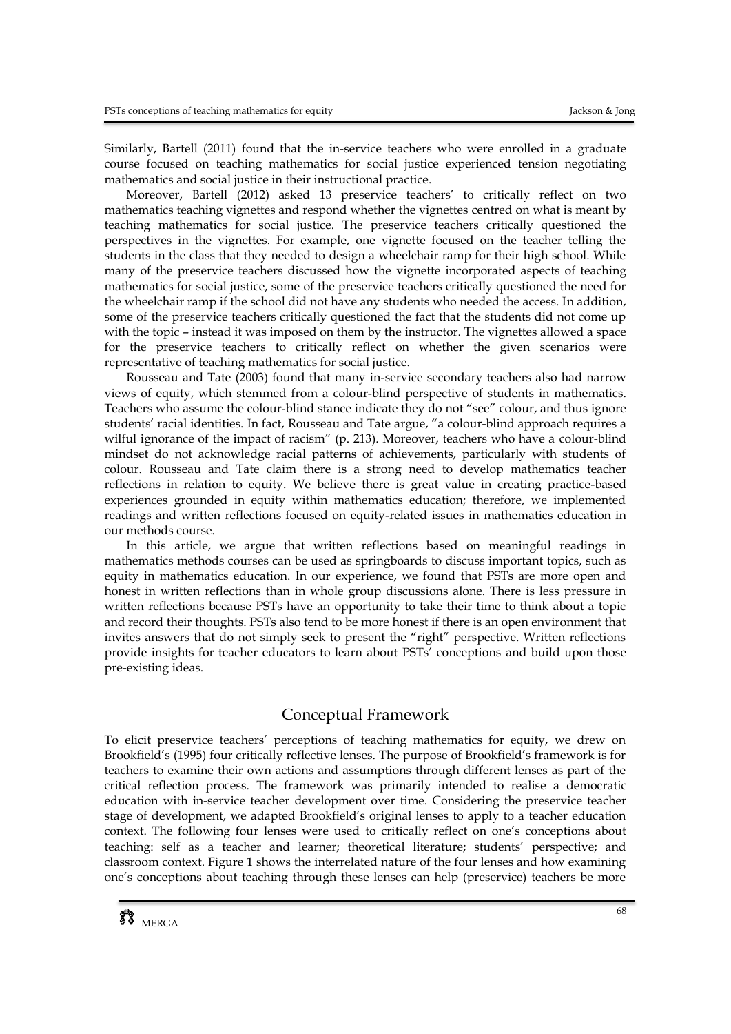Similarly, Bartell (2011) found that the in-service teachers who were enrolled in a graduate course focused on teaching mathematics for social justice experienced tension negotiating mathematics and social justice in their instructional practice.

Moreover, Bartell (2012) asked 13 preservice teachers' to critically reflect on two mathematics teaching vignettes and respond whether the vignettes centred on what is meant by teaching mathematics for social justice. The preservice teachers critically questioned the perspectives in the vignettes. For example, one vignette focused on the teacher telling the students in the class that they needed to design a wheelchair ramp for their high school. While many of the preservice teachers discussed how the vignette incorporated aspects of teaching mathematics for social justice, some of the preservice teachers critically questioned the need for the wheelchair ramp if the school did not have any students who needed the access. In addition, some of the preservice teachers critically questioned the fact that the students did not come up with the topic – instead it was imposed on them by the instructor. The vignettes allowed a space for the preservice teachers to critically reflect on whether the given scenarios were representative of teaching mathematics for social justice.

Rousseau and Tate (2003) found that many in-service secondary teachers also had narrow views of equity, which stemmed from a colour-blind perspective of students in mathematics. Teachers who assume the colour-blind stance indicate they do not "see" colour, and thus ignore students' racial identities. In fact, Rousseau and Tate argue, "a colour-blind approach requires a wilful ignorance of the impact of racism" (p. 213). Moreover, teachers who have a colour-blind mindset do not acknowledge racial patterns of achievements, particularly with students of colour. Rousseau and Tate claim there is a strong need to develop mathematics teacher reflections in relation to equity. We believe there is great value in creating practice-based experiences grounded in equity within mathematics education; therefore, we implemented readings and written reflections focused on equity-related issues in mathematics education in our methods course.

In this article, we argue that written reflections based on meaningful readings in mathematics methods courses can be used as springboards to discuss important topics, such as equity in mathematics education. In our experience, we found that PSTs are more open and honest in written reflections than in whole group discussions alone. There is less pressure in written reflections because PSTs have an opportunity to take their time to think about a topic and record their thoughts. PSTs also tend to be more honest if there is an open environment that invites answers that do not simply seek to present the "right" perspective. Written reflections provide insights for teacher educators to learn about PSTs' conceptions and build upon those pre-existing ideas.

# Conceptual Framework

To elicit preservice teachers' perceptions of teaching mathematics for equity, we drew on Brookfield's (1995) four critically reflective lenses. The purpose of Brookfield's framework is for teachers to examine their own actions and assumptions through different lenses as part of the critical reflection process. The framework was primarily intended to realise a democratic education with in-service teacher development over time. Considering the preservice teacher stage of development, we adapted Brookfield's original lenses to apply to a teacher education context. The following four lenses were used to critically reflect on one's conceptions about teaching: self as a teacher and learner; theoretical literature; students' perspective; and classroom context. Figure 1 shows the interrelated nature of the four lenses and how examining one's conceptions about teaching through these lenses can help (preservice) teachers be more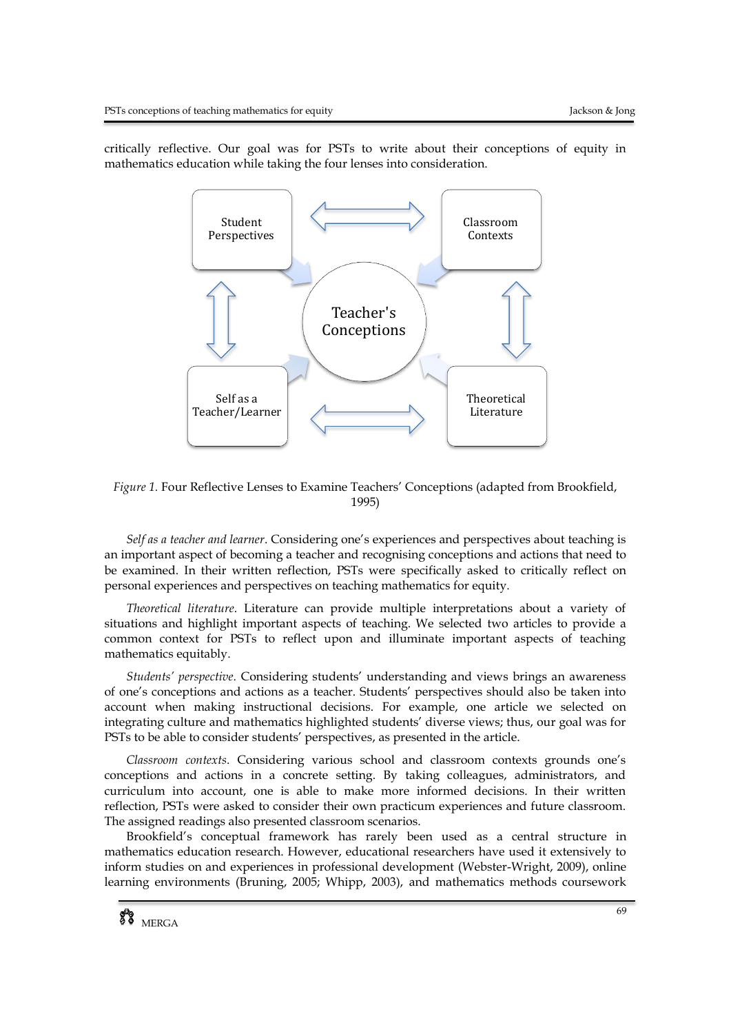critically reflective. Our goal was for PSTs to write about their conceptions of equity in mathematics education while taking the four lenses into consideration.



*Figure 1.* Four Reflective Lenses to Examine Teachers' Conceptions (adapted from Brookfield, 1995)

*Self as a teacher and learner*. Considering one's experiences and perspectives about teaching is an important aspect of becoming a teacher and recognising conceptions and actions that need to be examined. In their written reflection, PSTs were specifically asked to critically reflect on personal experiences and perspectives on teaching mathematics for equity.

*Theoretical literature*. Literature can provide multiple interpretations about a variety of situations and highlight important aspects of teaching. We selected two articles to provide a common context for PSTs to reflect upon and illuminate important aspects of teaching mathematics equitably.

*Students' perspective*. Considering students' understanding and views brings an awareness of one's conceptions and actions as a teacher. Students' perspectives should also be taken into account when making instructional decisions. For example, one article we selected on integrating culture and mathematics highlighted students' diverse views; thus, our goal was for PSTs to be able to consider students' perspectives, as presented in the article.

*Classroom contexts*. Considering various school and classroom contexts grounds one's conceptions and actions in a concrete setting. By taking colleagues, administrators, and curriculum into account, one is able to make more informed decisions. In their written reflection, PSTs were asked to consider their own practicum experiences and future classroom. The assigned readings also presented classroom scenarios.

Brookfield's conceptual framework has rarely been used as a central structure in mathematics education research. However, educational researchers have used it extensively to inform studies on and experiences in professional development (Webster-Wright, 2009), online learning environments (Bruning, 2005; Whipp, 2003), and mathematics methods coursework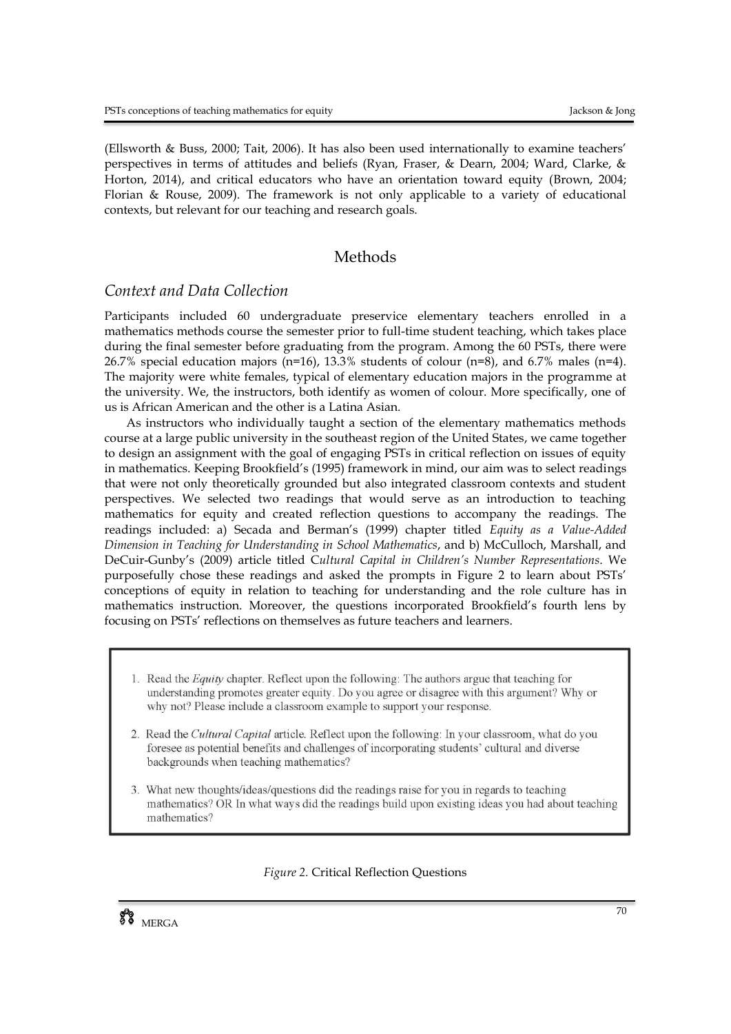(Ellsworth & Buss, 2000; Tait, 2006). It has also been used internationally to examine teachers' perspectives in terms of attitudes and beliefs (Ryan, Fraser, & Dearn, 2004; Ward, Clarke, & Horton, 2014), and critical educators who have an orientation toward equity (Brown, 2004; Florian & Rouse, 2009). The framework is not only applicable to a variety of educational contexts, but relevant for our teaching and research goals.

# Methods

# *Context and Data Collection*

Participants included 60 undergraduate preservice elementary teachers enrolled in a mathematics methods course the semester prior to full-time student teaching, which takes place during the final semester before graduating from the program. Among the 60 PSTs, there were 26.7% special education majors (n=16), 13.3% students of colour (n=8), and 6.7% males (n=4). The majority were white females, typical of elementary education majors in the programme at the university. We, the instructors, both identify as women of colour. More specifically, one of us is African American and the other is a Latina Asian.

As instructors who individually taught a section of the elementary mathematics methods course at a large public university in the southeast region of the United States, we came together to design an assignment with the goal of engaging PSTs in critical reflection on issues of equity in mathematics. Keeping Brookfield's (1995) framework in mind, our aim was to select readings that were not only theoretically grounded but also integrated classroom contexts and student perspectives. We selected two readings that would serve as an introduction to teaching mathematics for equity and created reflection questions to accompany the readings. The readings included: a) Secada and Berman's (1999) chapter titled *Equity as a Value-Added Dimension in Teaching for Understanding in School Mathematics*, and b) McCulloch, Marshall, and DeCuir-Gunby's (2009) article titled C*ultural Capital in Children's Number Representations*. We purposefully chose these readings and asked the prompts in Figure 2 to learn about PSTs' conceptions of equity in relation to teaching for understanding and the role culture has in mathematics instruction. Moreover, the questions incorporated Brookfield's fourth lens by focusing on PSTs' reflections on themselves as future teachers and learners.

- 1. Read the *Equity* chapter. Reflect upon the following: The authors argue that teaching for understanding promotes greater equity. Do you agree or disagree with this argument? Why or why not? Please include a classroom example to support your response.
- 2. Read the *Cultural Capital* article. Reflect upon the following: In your classroom, what do you foresee as potential benefits and challenges of incorporating students' cultural and diverse backgrounds when teaching mathematics?
- 3. What new thoughts/ideas/questions did the readings raise for you in regards to teaching mathematics? OR In what ways did the readings build upon existing ideas you had about teaching mathematics?

#### *Figure 2.* Critical Reflection Questions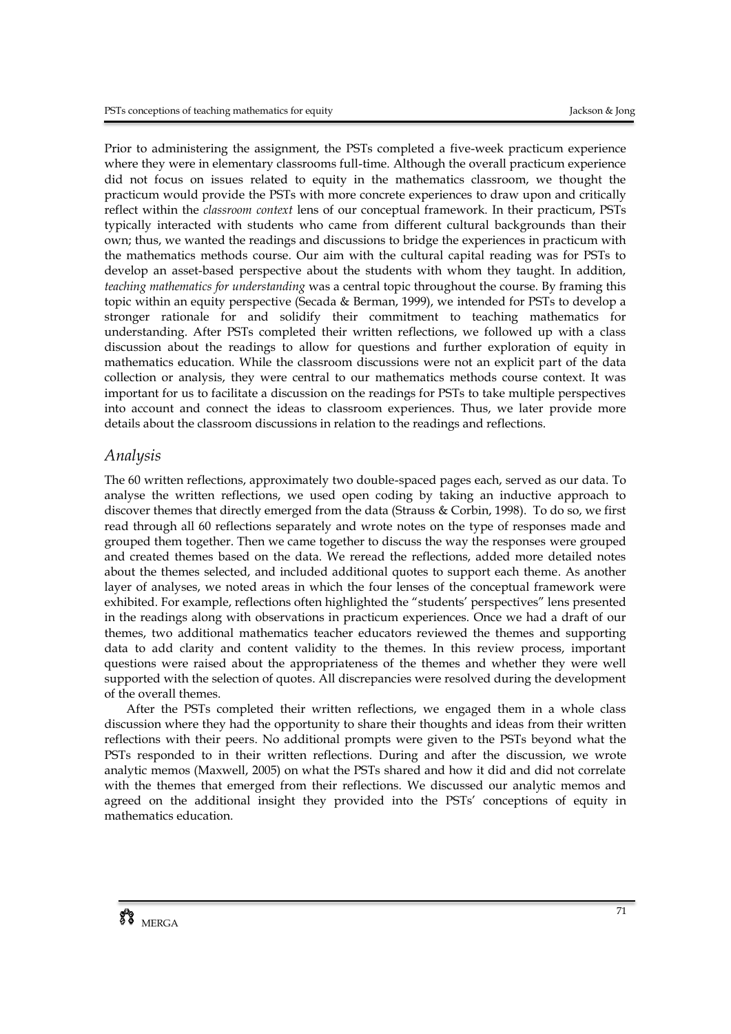Prior to administering the assignment, the PSTs completed a five-week practicum experience where they were in elementary classrooms full-time. Although the overall practicum experience did not focus on issues related to equity in the mathematics classroom, we thought the practicum would provide the PSTs with more concrete experiences to draw upon and critically reflect within the *classroom context* lens of our conceptual framework. In their practicum, PSTs typically interacted with students who came from different cultural backgrounds than their own; thus, we wanted the readings and discussions to bridge the experiences in practicum with the mathematics methods course. Our aim with the cultural capital reading was for PSTs to develop an asset-based perspective about the students with whom they taught. In addition, *teaching mathematics for understanding* was a central topic throughout the course. By framing this topic within an equity perspective (Secada & Berman, 1999), we intended for PSTs to develop a stronger rationale for and solidify their commitment to teaching mathematics for understanding. After PSTs completed their written reflections, we followed up with a class discussion about the readings to allow for questions and further exploration of equity in mathematics education. While the classroom discussions were not an explicit part of the data collection or analysis, they were central to our mathematics methods course context. It was important for us to facilitate a discussion on the readings for PSTs to take multiple perspectives into account and connect the ideas to classroom experiences. Thus, we later provide more details about the classroom discussions in relation to the readings and reflections.

# *Analysis*

The 60 written reflections, approximately two double-spaced pages each, served as our data. To analyse the written reflections, we used open coding by taking an inductive approach to discover themes that directly emerged from the data (Strauss & Corbin, 1998). To do so, we first read through all 60 reflections separately and wrote notes on the type of responses made and grouped them together. Then we came together to discuss the way the responses were grouped and created themes based on the data. We reread the reflections, added more detailed notes about the themes selected, and included additional quotes to support each theme. As another layer of analyses, we noted areas in which the four lenses of the conceptual framework were exhibited. For example, reflections often highlighted the "students' perspectives" lens presented in the readings along with observations in practicum experiences. Once we had a draft of our themes, two additional mathematics teacher educators reviewed the themes and supporting data to add clarity and content validity to the themes. In this review process, important questions were raised about the appropriateness of the themes and whether they were well supported with the selection of quotes. All discrepancies were resolved during the development of the overall themes.

After the PSTs completed their written reflections, we engaged them in a whole class discussion where they had the opportunity to share their thoughts and ideas from their written reflections with their peers. No additional prompts were given to the PSTs beyond what the PSTs responded to in their written reflections. During and after the discussion, we wrote analytic memos (Maxwell, 2005) on what the PSTs shared and how it did and did not correlate with the themes that emerged from their reflections. We discussed our analytic memos and agreed on the additional insight they provided into the PSTs' conceptions of equity in mathematics education.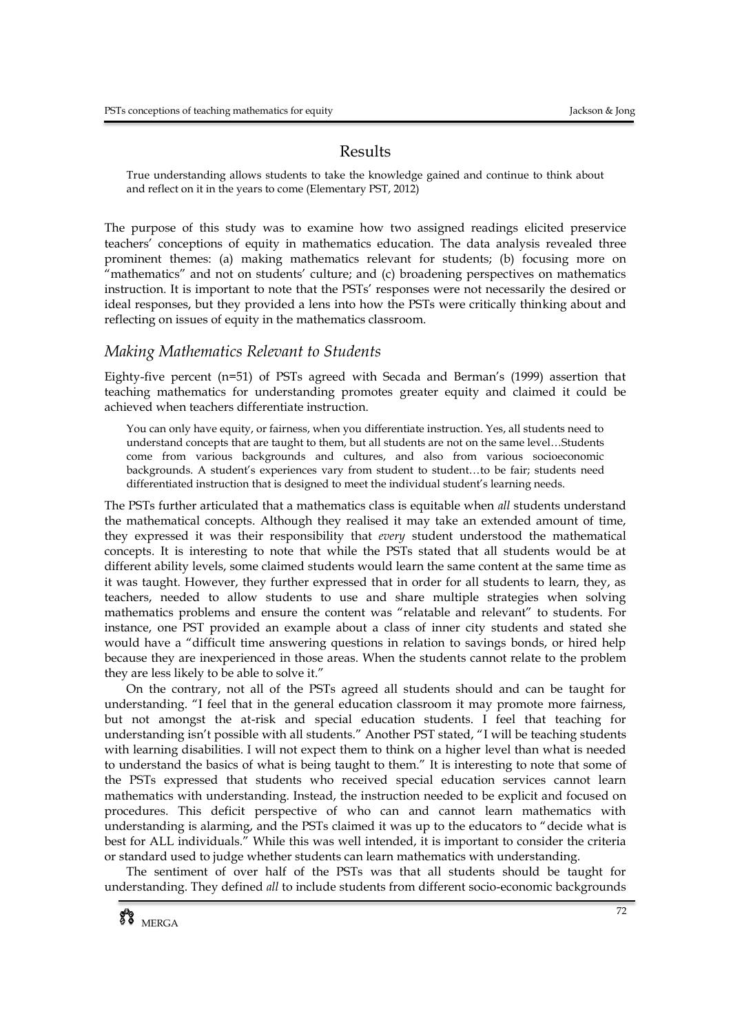# Results

True understanding allows students to take the knowledge gained and continue to think about and reflect on it in the years to come (Elementary PST, 2012)

The purpose of this study was to examine how two assigned readings elicited preservice teachers' conceptions of equity in mathematics education. The data analysis revealed three prominent themes: (a) making mathematics relevant for students; (b) focusing more on "mathematics" and not on students' culture; and (c) broadening perspectives on mathematics instruction. It is important to note that the PSTs' responses were not necessarily the desired or ideal responses, but they provided a lens into how the PSTs were critically thinking about and reflecting on issues of equity in the mathematics classroom.

## *Making Mathematics Relevant to Students*

Eighty-five percent (n=51) of PSTs agreed with Secada and Berman's (1999) assertion that teaching mathematics for understanding promotes greater equity and claimed it could be achieved when teachers differentiate instruction.

You can only have equity, or fairness, when you differentiate instruction. Yes, all students need to understand concepts that are taught to them, but all students are not on the same level…Students come from various backgrounds and cultures, and also from various socioeconomic backgrounds. A student's experiences vary from student to student…to be fair; students need differentiated instruction that is designed to meet the individual student's learning needs.

The PSTs further articulated that a mathematics class is equitable when *all* students understand the mathematical concepts. Although they realised it may take an extended amount of time, they expressed it was their responsibility that *every* student understood the mathematical concepts. It is interesting to note that while the PSTs stated that all students would be at different ability levels, some claimed students would learn the same content at the same time as it was taught. However, they further expressed that in order for all students to learn, they, as teachers, needed to allow students to use and share multiple strategies when solving mathematics problems and ensure the content was "relatable and relevant" to students. For instance, one PST provided an example about a class of inner city students and stated she would have a "difficult time answering questions in relation to savings bonds, or hired help because they are inexperienced in those areas. When the students cannot relate to the problem they are less likely to be able to solve it."

On the contrary, not all of the PSTs agreed all students should and can be taught for understanding. "I feel that in the general education classroom it may promote more fairness, but not amongst the at-risk and special education students. I feel that teaching for understanding isn't possible with all students." Another PST stated, "I will be teaching students with learning disabilities. I will not expect them to think on a higher level than what is needed to understand the basics of what is being taught to them." It is interesting to note that some of the PSTs expressed that students who received special education services cannot learn mathematics with understanding. Instead, the instruction needed to be explicit and focused on procedures. This deficit perspective of who can and cannot learn mathematics with understanding is alarming, and the PSTs claimed it was up to the educators to "decide what is best for ALL individuals." While this was well intended, it is important to consider the criteria or standard used to judge whether students can learn mathematics with understanding.

The sentiment of over half of the PSTs was that all students should be taught for understanding. They defined *all* to include students from different socio-economic backgrounds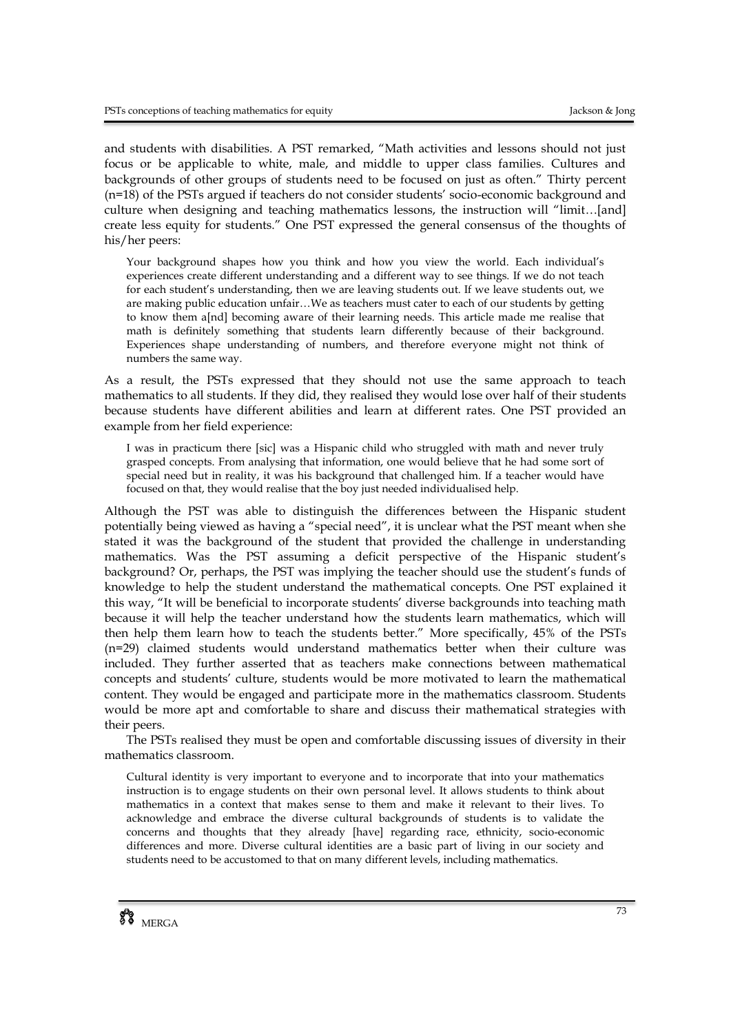and students with disabilities. A PST remarked, "Math activities and lessons should not just focus or be applicable to white, male, and middle to upper class families. Cultures and backgrounds of other groups of students need to be focused on just as often." Thirty percent (n=18) of the PSTs argued if teachers do not consider students' socio-economic background and culture when designing and teaching mathematics lessons, the instruction will "limit…[and] create less equity for students." One PST expressed the general consensus of the thoughts of his/her peers:

Your background shapes how you think and how you view the world. Each individual's experiences create different understanding and a different way to see things. If we do not teach for each student's understanding, then we are leaving students out. If we leave students out, we are making public education unfair…We as teachers must cater to each of our students by getting to know them a[nd] becoming aware of their learning needs. This article made me realise that math is definitely something that students learn differently because of their background. Experiences shape understanding of numbers, and therefore everyone might not think of numbers the same way.

As a result, the PSTs expressed that they should not use the same approach to teach mathematics to all students. If they did, they realised they would lose over half of their students because students have different abilities and learn at different rates. One PST provided an example from her field experience:

I was in practicum there [sic] was a Hispanic child who struggled with math and never truly grasped concepts. From analysing that information, one would believe that he had some sort of special need but in reality, it was his background that challenged him. If a teacher would have focused on that, they would realise that the boy just needed individualised help.

Although the PST was able to distinguish the differences between the Hispanic student potentially being viewed as having a "special need", it is unclear what the PST meant when she stated it was the background of the student that provided the challenge in understanding mathematics. Was the PST assuming a deficit perspective of the Hispanic student's background? Or, perhaps, the PST was implying the teacher should use the student's funds of knowledge to help the student understand the mathematical concepts. One PST explained it this way, "It will be beneficial to incorporate students' diverse backgrounds into teaching math because it will help the teacher understand how the students learn mathematics, which will then help them learn how to teach the students better." More specifically, 45% of the PSTs (n=29) claimed students would understand mathematics better when their culture was included. They further asserted that as teachers make connections between mathematical concepts and students' culture, students would be more motivated to learn the mathematical content. They would be engaged and participate more in the mathematics classroom. Students would be more apt and comfortable to share and discuss their mathematical strategies with their peers.

The PSTs realised they must be open and comfortable discussing issues of diversity in their mathematics classroom.

Cultural identity is very important to everyone and to incorporate that into your mathematics instruction is to engage students on their own personal level. It allows students to think about mathematics in a context that makes sense to them and make it relevant to their lives. To acknowledge and embrace the diverse cultural backgrounds of students is to validate the concerns and thoughts that they already [have] regarding race, ethnicity, socio-economic differences and more. Diverse cultural identities are a basic part of living in our society and students need to be accustomed to that on many different levels, including mathematics.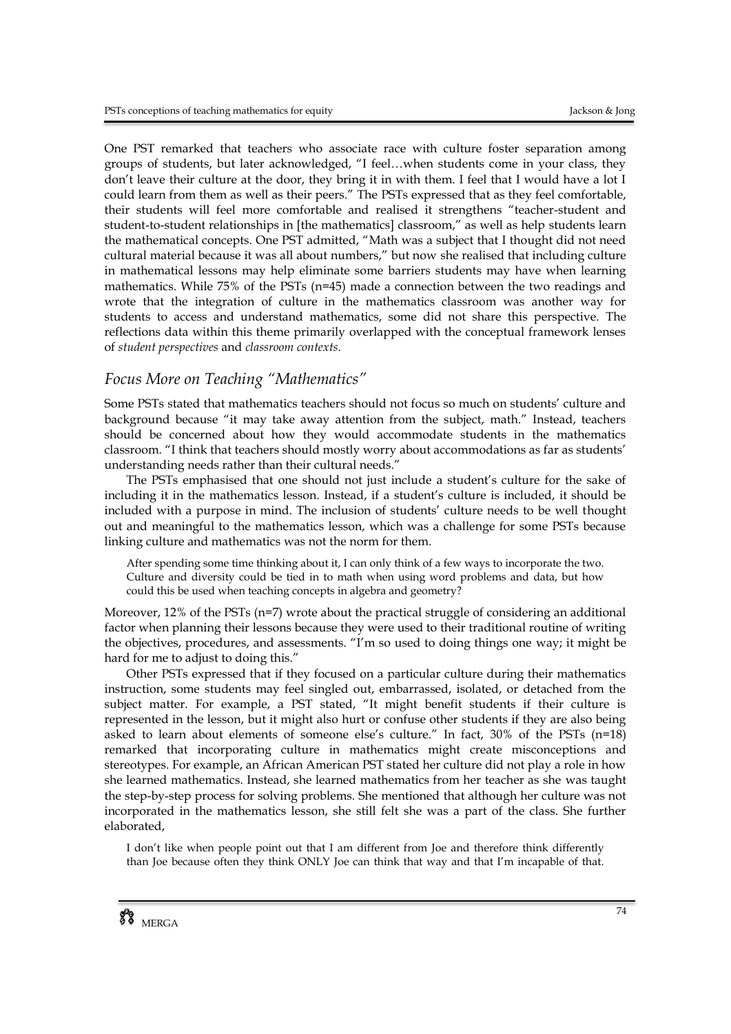One PST remarked that teachers who associate race with culture foster separation among groups of students, but later acknowledged, "I feel…when students come in your class, they don't leave their culture at the door, they bring it in with them. I feel that I would have a lot I could learn from them as well as their peers." The PSTs expressed that as they feel comfortable, their students will feel more comfortable and realised it strengthens "teacher-student and student-to-student relationships in [the mathematics] classroom," as well as help students learn the mathematical concepts. One PST admitted, "Math was a subject that I thought did not need cultural material because it was all about numbers," but now she realised that including culture in mathematical lessons may help eliminate some barriers students may have when learning mathematics. While 75% of the PSTs (n=45) made a connection between the two readings and wrote that the integration of culture in the mathematics classroom was another way for students to access and understand mathematics, some did not share this perspective. The reflections data within this theme primarily overlapped with the conceptual framework lenses of *student perspectives* and *classroom contexts*.

# *Focus More on Teaching "Mathematics"*

Some PSTs stated that mathematics teachers should not focus so much on students' culture and background because "it may take away attention from the subject, math." Instead, teachers should be concerned about how they would accommodate students in the mathematics classroom. "I think that teachers should mostly worry about accommodations as far as students' understanding needs rather than their cultural needs."

The PSTs emphasised that one should not just include a student's culture for the sake of including it in the mathematics lesson. Instead, if a student's culture is included, it should be included with a purpose in mind. The inclusion of students' culture needs to be well thought out and meaningful to the mathematics lesson, which was a challenge for some PSTs because linking culture and mathematics was not the norm for them.

After spending some time thinking about it, I can only think of a few ways to incorporate the two. Culture and diversity could be tied in to math when using word problems and data, but how could this be used when teaching concepts in algebra and geometry?

Moreover, 12% of the PSTs (n=7) wrote about the practical struggle of considering an additional factor when planning their lessons because they were used to their traditional routine of writing the objectives, procedures, and assessments. "I'm so used to doing things one way; it might be hard for me to adjust to doing this."

Other PSTs expressed that if they focused on a particular culture during their mathematics instruction, some students may feel singled out, embarrassed, isolated, or detached from the subject matter. For example, a PST stated, "It might benefit students if their culture is represented in the lesson, but it might also hurt or confuse other students if they are also being asked to learn about elements of someone else's culture." In fact, 30% of the PSTs (n=18) remarked that incorporating culture in mathematics might create misconceptions and stereotypes. For example, an African American PST stated her culture did not play a role in how she learned mathematics. Instead, she learned mathematics from her teacher as she was taught the step-by-step process for solving problems. She mentioned that although her culture was not incorporated in the mathematics lesson, she still felt she was a part of the class. She further elaborated,

I don't like when people point out that I am different from Joe and therefore think differently than Joe because often they think ONLY Joe can think that way and that I'm incapable of that.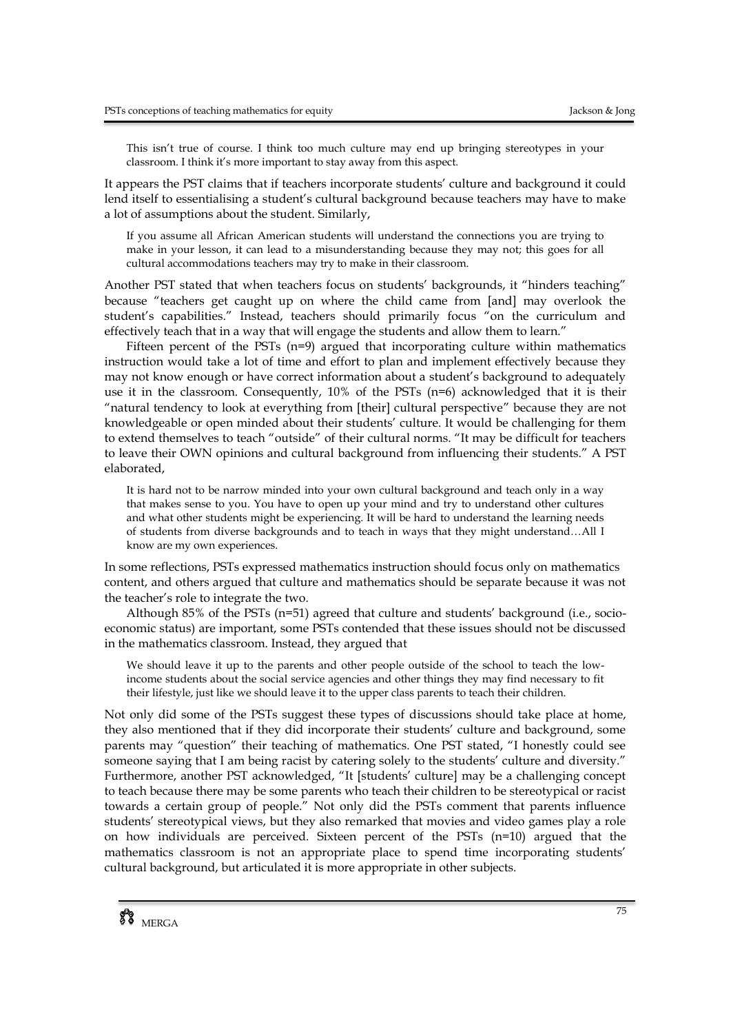This isn't true of course. I think too much culture may end up bringing stereotypes in your classroom. I think it's more important to stay away from this aspect.

It appears the PST claims that if teachers incorporate students' culture and background it could lend itself to essentialising a student's cultural background because teachers may have to make a lot of assumptions about the student. Similarly,

If you assume all African American students will understand the connections you are trying to make in your lesson, it can lead to a misunderstanding because they may not; this goes for all cultural accommodations teachers may try to make in their classroom.

Another PST stated that when teachers focus on students' backgrounds, it "hinders teaching" because "teachers get caught up on where the child came from [and] may overlook the student's capabilities." Instead, teachers should primarily focus "on the curriculum and effectively teach that in a way that will engage the students and allow them to learn."

Fifteen percent of the PSTs  $(n=9)$  argued that incorporating culture within mathematics instruction would take a lot of time and effort to plan and implement effectively because they may not know enough or have correct information about a student's background to adequately use it in the classroom. Consequently, 10% of the PSTs (n=6) acknowledged that it is their "natural tendency to look at everything from [their] cultural perspective" because they are not knowledgeable or open minded about their students' culture. It would be challenging for them to extend themselves to teach "outside" of their cultural norms. "It may be difficult for teachers to leave their OWN opinions and cultural background from influencing their students." A PST elaborated,

It is hard not to be narrow minded into your own cultural background and teach only in a way that makes sense to you. You have to open up your mind and try to understand other cultures and what other students might be experiencing. It will be hard to understand the learning needs of students from diverse backgrounds and to teach in ways that they might understand…All I know are my own experiences.

In some reflections, PSTs expressed mathematics instruction should focus only on mathematics content, and others argued that culture and mathematics should be separate because it was not the teacher's role to integrate the two.

Although 85% of the PSTs (n=51) agreed that culture and students' background (i.e., socioeconomic status) are important, some PSTs contended that these issues should not be discussed in the mathematics classroom. Instead, they argued that

We should leave it up to the parents and other people outside of the school to teach the lowincome students about the social service agencies and other things they may find necessary to fit their lifestyle, just like we should leave it to the upper class parents to teach their children.

Not only did some of the PSTs suggest these types of discussions should take place at home, they also mentioned that if they did incorporate their students' culture and background, some parents may "question" their teaching of mathematics. One PST stated, "I honestly could see someone saying that I am being racist by catering solely to the students' culture and diversity." Furthermore, another PST acknowledged, "It [students' culture] may be a challenging concept to teach because there may be some parents who teach their children to be stereotypical or racist towards a certain group of people." Not only did the PSTs comment that parents influence students' stereotypical views, but they also remarked that movies and video games play a role on how individuals are perceived. Sixteen percent of the PSTs (n=10) argued that the mathematics classroom is not an appropriate place to spend time incorporating students' cultural background, but articulated it is more appropriate in other subjects.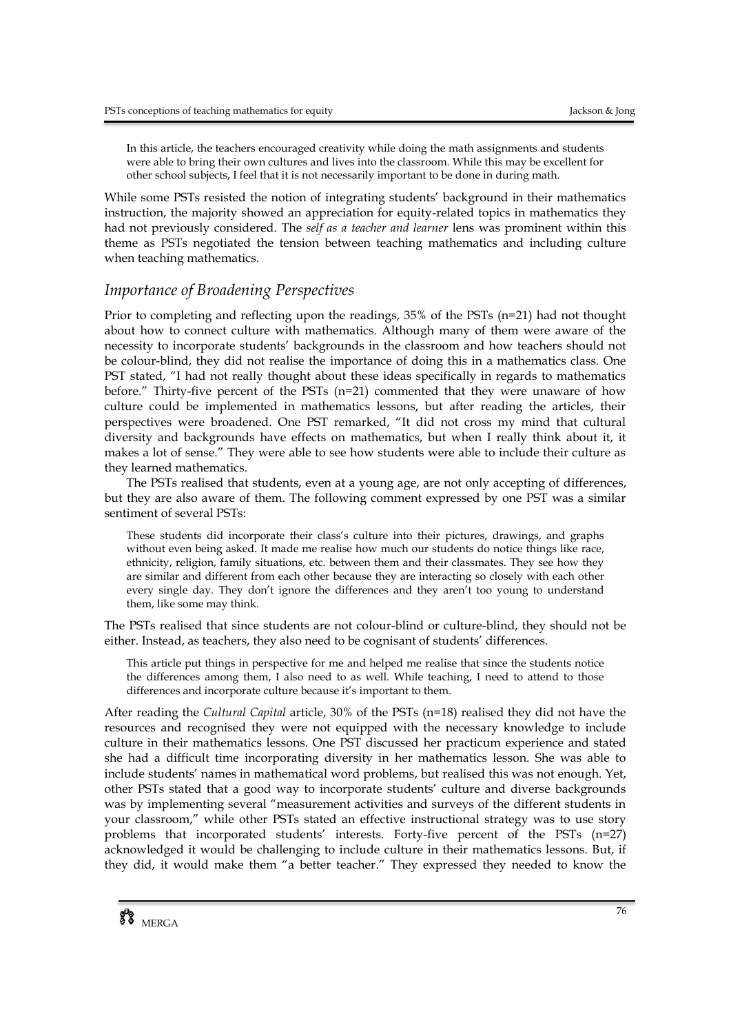In this article, the teachers encouraged creativity while doing the math assignments and students were able to bring their own cultures and lives into the classroom. While this may be excellent for other school subjects, I feel that it is not necessarily important to be done in during math.

While some PSTs resisted the notion of integrating students' background in their mathematics instruction, the majority showed an appreciation for equity-related topics in mathematics they had not previously considered. The *self as a teacher and learner* lens was prominent within this theme as PSTs negotiated the tension between teaching mathematics and including culture when teaching mathematics.

# *Importance of Broadening Perspectives*

Prior to completing and reflecting upon the readings, 35% of the PSTs (n=21) had not thought about how to connect culture with mathematics. Although many of them were aware of the necessity to incorporate students' backgrounds in the classroom and how teachers should not be colour-blind, they did not realise the importance of doing this in a mathematics class. One PST stated, "I had not really thought about these ideas specifically in regards to mathematics before." Thirty-five percent of the PSTs (n=21) commented that they were unaware of how culture could be implemented in mathematics lessons, but after reading the articles, their perspectives were broadened. One PST remarked, "It did not cross my mind that cultural diversity and backgrounds have effects on mathematics, but when I really think about it, it makes a lot of sense." They were able to see how students were able to include their culture as they learned mathematics.

The PSTs realised that students, even at a young age, are not only accepting of differences, but they are also aware of them. The following comment expressed by one PST was a similar sentiment of several PSTs:

These students did incorporate their class's culture into their pictures, drawings, and graphs without even being asked. It made me realise how much our students do notice things like race, ethnicity, religion, family situations, etc. between them and their classmates. They see how they are similar and different from each other because they are interacting so closely with each other every single day. They don't ignore the differences and they aren't too young to understand them, like some may think.

The PSTs realised that since students are not colour-blind or culture-blind, they should not be either. Instead, as teachers, they also need to be cognisant of students' differences.

This article put things in perspective for me and helped me realise that since the students notice the differences among them, I also need to as well. While teaching, I need to attend to those differences and incorporate culture because it's important to them.

After reading the *Cultural Capital* article, 30% of the PSTs (n=18) realised they did not have the resources and recognised they were not equipped with the necessary knowledge to include culture in their mathematics lessons. One PST discussed her practicum experience and stated she had a difficult time incorporating diversity in her mathematics lesson. She was able to include students' names in mathematical word problems, but realised this was not enough. Yet, other PSTs stated that a good way to incorporate students' culture and diverse backgrounds was by implementing several "measurement activities and surveys of the different students in your classroom," while other PSTs stated an effective instructional strategy was to use story problems that incorporated students' interests. Forty-five percent of the PSTs (n=27) acknowledged it would be challenging to include culture in their mathematics lessons. But, if they did, it would make them "a better teacher." They expressed they needed to know the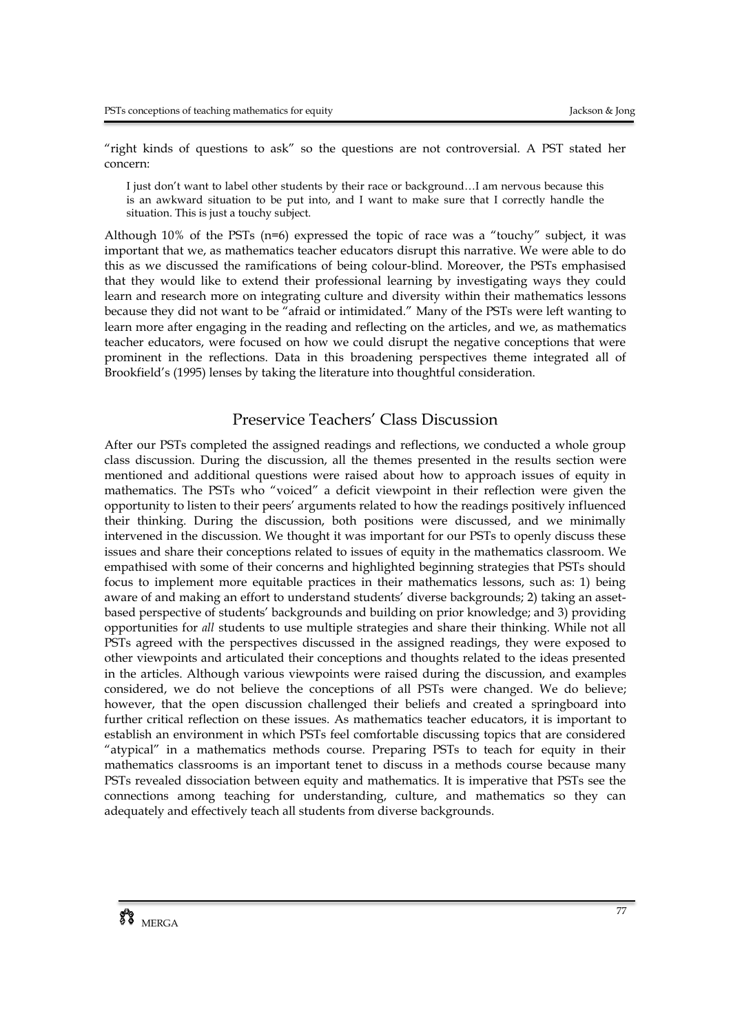"right kinds of questions to ask" so the questions are not controversial. A PST stated her concern:

I just don't want to label other students by their race or background…I am nervous because this is an awkward situation to be put into, and I want to make sure that I correctly handle the situation. This is just a touchy subject.

Although  $10\%$  of the PSTs (n=6) expressed the topic of race was a "touchy" subject, it was important that we, as mathematics teacher educators disrupt this narrative. We were able to do this as we discussed the ramifications of being colour-blind. Moreover, the PSTs emphasised that they would like to extend their professional learning by investigating ways they could learn and research more on integrating culture and diversity within their mathematics lessons because they did not want to be "afraid or intimidated." Many of the PSTs were left wanting to learn more after engaging in the reading and reflecting on the articles, and we, as mathematics teacher educators, were focused on how we could disrupt the negative conceptions that were prominent in the reflections. Data in this broadening perspectives theme integrated all of Brookfield's (1995) lenses by taking the literature into thoughtful consideration.

# Preservice Teachers' Class Discussion

After our PSTs completed the assigned readings and reflections, we conducted a whole group class discussion. During the discussion, all the themes presented in the results section were mentioned and additional questions were raised about how to approach issues of equity in mathematics. The PSTs who "voiced" a deficit viewpoint in their reflection were given the opportunity to listen to their peers' arguments related to how the readings positively influenced their thinking. During the discussion, both positions were discussed, and we minimally intervened in the discussion. We thought it was important for our PSTs to openly discuss these issues and share their conceptions related to issues of equity in the mathematics classroom. We empathised with some of their concerns and highlighted beginning strategies that PSTs should focus to implement more equitable practices in their mathematics lessons, such as: 1) being aware of and making an effort to understand students' diverse backgrounds; 2) taking an assetbased perspective of students' backgrounds and building on prior knowledge; and 3) providing opportunities for *all* students to use multiple strategies and share their thinking. While not all PSTs agreed with the perspectives discussed in the assigned readings, they were exposed to other viewpoints and articulated their conceptions and thoughts related to the ideas presented in the articles. Although various viewpoints were raised during the discussion, and examples considered, we do not believe the conceptions of all PSTs were changed. We do believe; however, that the open discussion challenged their beliefs and created a springboard into further critical reflection on these issues. As mathematics teacher educators, it is important to establish an environment in which PSTs feel comfortable discussing topics that are considered "atypical" in a mathematics methods course. Preparing PSTs to teach for equity in their mathematics classrooms is an important tenet to discuss in a methods course because many PSTs revealed dissociation between equity and mathematics. It is imperative that PSTs see the connections among teaching for understanding, culture, and mathematics so they can adequately and effectively teach all students from diverse backgrounds.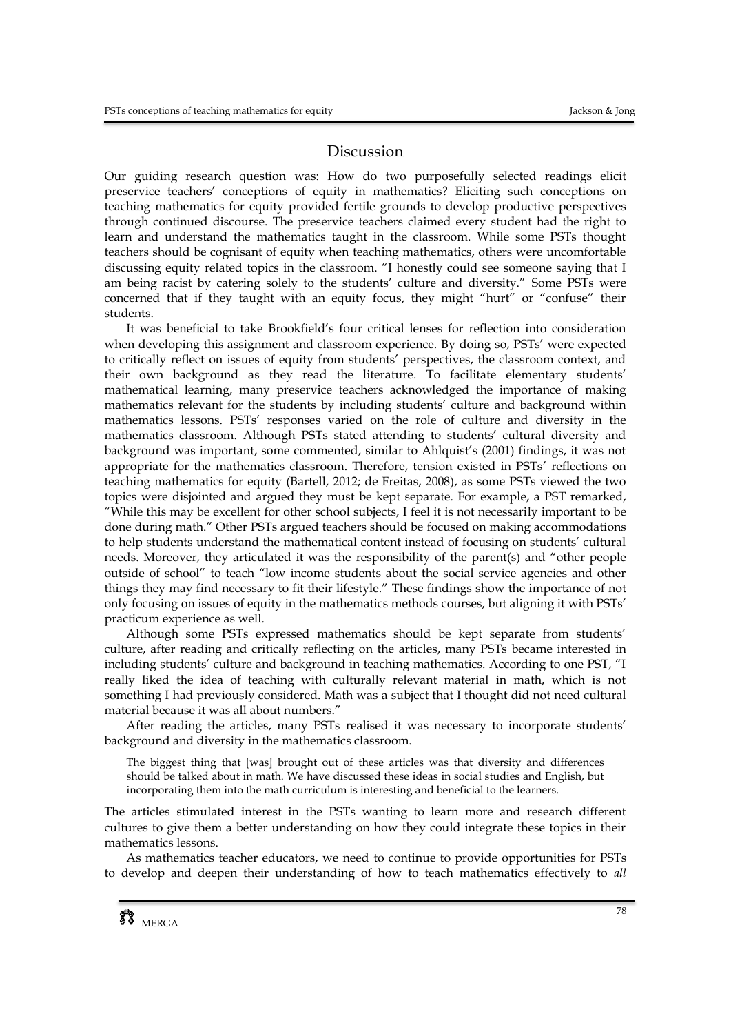### Discussion

Our guiding research question was: How do two purposefully selected readings elicit preservice teachers' conceptions of equity in mathematics? Eliciting such conceptions on teaching mathematics for equity provided fertile grounds to develop productive perspectives through continued discourse. The preservice teachers claimed every student had the right to learn and understand the mathematics taught in the classroom. While some PSTs thought teachers should be cognisant of equity when teaching mathematics, others were uncomfortable discussing equity related topics in the classroom. "I honestly could see someone saying that I am being racist by catering solely to the students' culture and diversity." Some PSTs were concerned that if they taught with an equity focus, they might "hurt" or "confuse" their students.

It was beneficial to take Brookfield's four critical lenses for reflection into consideration when developing this assignment and classroom experience. By doing so, PSTs' were expected to critically reflect on issues of equity from students' perspectives, the classroom context, and their own background as they read the literature. To facilitate elementary students' mathematical learning, many preservice teachers acknowledged the importance of making mathematics relevant for the students by including students' culture and background within mathematics lessons. PSTs' responses varied on the role of culture and diversity in the mathematics classroom. Although PSTs stated attending to students' cultural diversity and background was important, some commented, similar to Ahlquist's (2001) findings, it was not appropriate for the mathematics classroom. Therefore, tension existed in PSTs' reflections on teaching mathematics for equity (Bartell, 2012; de Freitas, 2008), as some PSTs viewed the two topics were disjointed and argued they must be kept separate. For example, a PST remarked, "While this may be excellent for other school subjects, I feel it is not necessarily important to be done during math." Other PSTs argued teachers should be focused on making accommodations to help students understand the mathematical content instead of focusing on students' cultural needs. Moreover, they articulated it was the responsibility of the parent(s) and "other people outside of school" to teach "low income students about the social service agencies and other things they may find necessary to fit their lifestyle." These findings show the importance of not only focusing on issues of equity in the mathematics methods courses, but aligning it with PSTs' practicum experience as well.

Although some PSTs expressed mathematics should be kept separate from students' culture, after reading and critically reflecting on the articles, many PSTs became interested in including students' culture and background in teaching mathematics. According to one PST, "I really liked the idea of teaching with culturally relevant material in math, which is not something I had previously considered. Math was a subject that I thought did not need cultural material because it was all about numbers."

After reading the articles, many PSTs realised it was necessary to incorporate students' background and diversity in the mathematics classroom.

The biggest thing that [was] brought out of these articles was that diversity and differences should be talked about in math. We have discussed these ideas in social studies and English, but incorporating them into the math curriculum is interesting and beneficial to the learners.

The articles stimulated interest in the PSTs wanting to learn more and research different cultures to give them a better understanding on how they could integrate these topics in their mathematics lessons.

As mathematics teacher educators, we need to continue to provide opportunities for PSTs to develop and deepen their understanding of how to teach mathematics effectively to *all*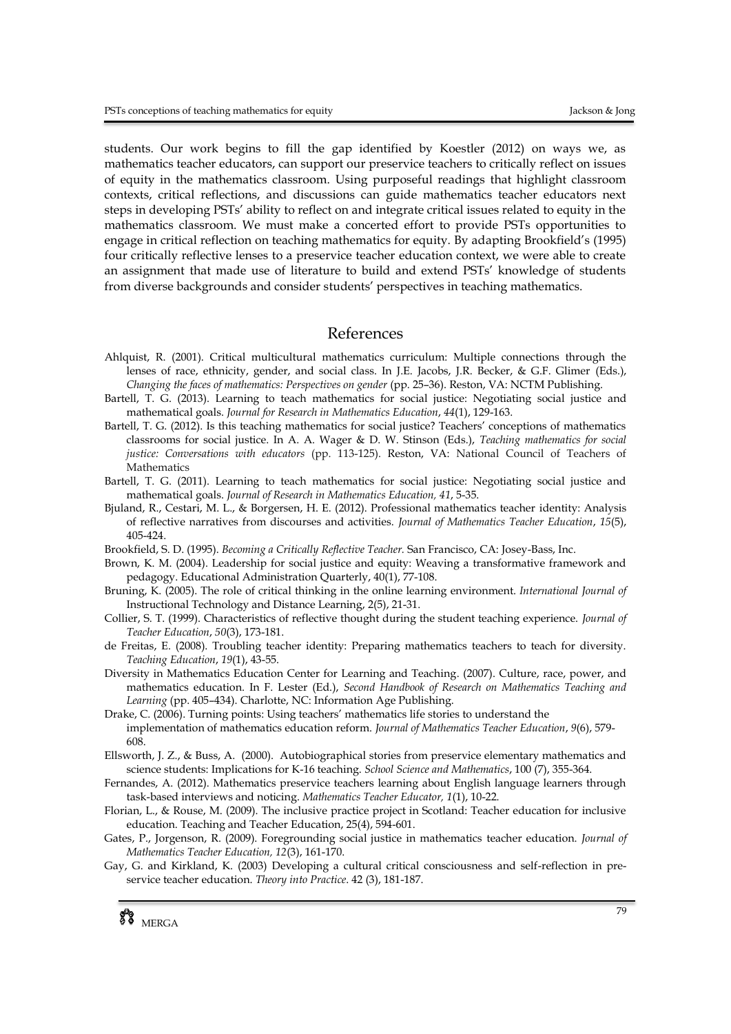students. Our work begins to fill the gap identified by Koestler (2012) on ways we, as mathematics teacher educators, can support our preservice teachers to critically reflect on issues of equity in the mathematics classroom. Using purposeful readings that highlight classroom contexts, critical reflections, and discussions can guide mathematics teacher educators next steps in developing PSTs' ability to reflect on and integrate critical issues related to equity in the mathematics classroom. We must make a concerted effort to provide PSTs opportunities to engage in critical reflection on teaching mathematics for equity. By adapting Brookfield's (1995) four critically reflective lenses to a preservice teacher education context, we were able to create an assignment that made use of literature to build and extend PSTs' knowledge of students from diverse backgrounds and consider students' perspectives in teaching mathematics.

#### References

- Ahlquist, R. (2001). Critical multicultural mathematics curriculum: Multiple connections through the lenses of race, ethnicity, gender, and social class. In J.E. Jacobs, J.R. Becker, & G.F. Glimer (Eds.), *Changing the faces of mathematics: Perspectives on gender* (pp. 25–36). Reston, VA: NCTM Publishing.
- Bartell, T. G. (2013). Learning to teach mathematics for social justice: Negotiating social justice and mathematical goals. *Journal for Research in Mathematics Education*, *44*(1), 129-163.
- Bartell, T. G. (2012). Is this teaching mathematics for social justice? Teachers' conceptions of mathematics classrooms for social justice. In A. A. Wager & D. W. Stinson (Eds.), *Teaching mathematics for social justice: Conversations with educators* (pp. 113-125). Reston, VA: National Council of Teachers of Mathematics
- Bartell, T. G. (2011). Learning to teach mathematics for social justice: Negotiating social justice and mathematical goals. *Journal of Research in Mathematics Education, 41*, 5-35.
- Bjuland, R., Cestari, M. L., & Borgersen, H. E. (2012). Professional mathematics teacher identity: Analysis of reflective narratives from discourses and activities. *Journal of Mathematics Teacher Education*, *15*(5), 405-424.
- Brookfield, S. D. (1995). *Becoming a Critically Reflective Teacher.* San Francisco, CA: Josey-Bass, Inc.
- Brown, K. M. (2004). Leadership for social justice and equity: Weaving a transformative framework and pedagogy. Educational Administration Quarterly, 40(1), 77-108.
- Bruning, K. (2005). The role of critical thinking in the online learning environment. *International Journal of*  Instructional Technology and Distance Learning, 2(5), 21-31.
- Collier, S. T. (1999). Characteristics of reflective thought during the student teaching experience. *Journal of Teacher Education*, *50*(3), 173-181.
- de Freitas, E. (2008). Troubling teacher identity: Preparing mathematics teachers to teach for diversity. *Teaching Education*, *19*(1), 43-55.
- Diversity in Mathematics Education Center for Learning and Teaching. (2007). Culture, race, power, and mathematics education. In F. Lester (Ed.), *Second Handbook of Research on Mathematics Teaching and Learning* (pp. 405–434). Charlotte, NC: Information Age Publishing.
- Drake, C. (2006). Turning points: Using teachers' mathematics life stories to understand the implementation of mathematics education reform. *Journal of Mathematics Teacher Education*, *9*(6), 579- 608.
- [Ellsworth, J. Z.,](http://www-ca6.csa.com/ids70/p_search_form.php?field=au&query=ellsworth+judith+z&log=literal&SID=141070f2abac6f54ee6c6327bf4ed44b) & [Buss, A.](http://www-ca6.csa.com/ids70/p_search_form.php?field=au&query=buss+alan&log=literal&SID=141070f2abac6f54ee6c6327bf4ed44b) (2000). [Autobiographical stories from preservice elementary mathematics and](http://www-ca6.csa.com/ids70/view_record.php?id=41&recnum=0&SID=141070f2abac6f54ee6c6327bf4ed44b)  [science students: Implications for K-16 teaching.](http://www-ca6.csa.com/ids70/view_record.php?id=41&recnum=0&SID=141070f2abac6f54ee6c6327bf4ed44b) *School Science and Mathematics*, 100 (7), 355-364.
- Fernandes, A. (2012). Mathematics preservice teachers learning about English language learners through task-based interviews and noticing. *Mathematics Teacher Educator, 1*(1), 10-22.
- Florian, L., & Rouse, M. (2009). The inclusive practice project in Scotland: Teacher education for inclusive education. Teaching and Teacher Education, 25(4), 594-601.
- Gates, P., Jorgenson, R. (2009). Foregrounding social justice in mathematics teacher education. *Journal of Mathematics Teacher Education, 12*(3), 161-170.
- Gay, G. and Kirkland, K. (2003) Developing a cultural critical consciousness and self-reflection in preservice teacher education. *Theory into Practice*. 42 (3), 181-187.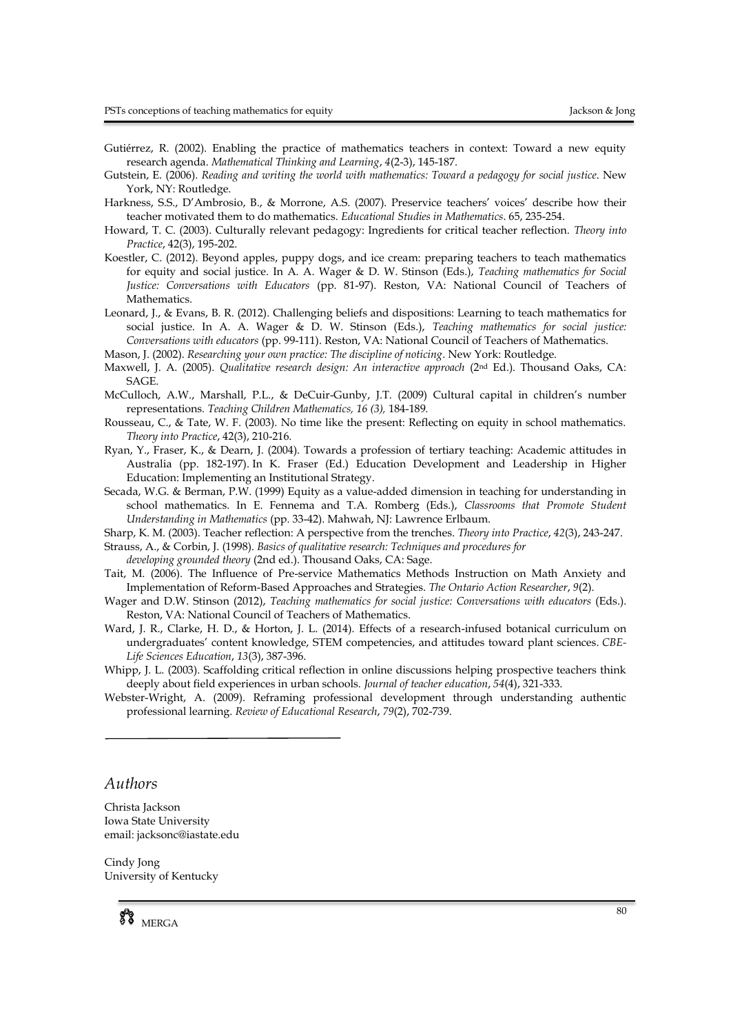- Gutiérrez, R. (2002). Enabling the practice of mathematics teachers in context: Toward a new equity research agenda. *Mathematical Thinking and Learning*, *4*(2-3), 145-187.
- Gutstein, E. (2006). *Reading and writing the world with mathematics: Toward a pedagogy for social justice*. New York, NY: Routledge.
- Harkness, S.S., D'Ambrosio, B., & Morrone, A.S. (2007). Preservice teachers' voices' describe how their teacher motivated them to do mathematics. *Educational Studies in Mathematics*. 65, 235-254.
- Howard, T. C. (2003). Culturally relevant pedagogy: Ingredients for critical teacher reflection. *Theory into Practice*, 42(3), 195-202.
- Koestler, C. (2012). Beyond apples, puppy dogs, and ice cream: preparing teachers to teach mathematics for equity and social justice. In A. A. Wager & D. W. Stinson (Eds.), *Teaching mathematics for Social Justice: Conversations with Educators* (pp. 81-97). Reston, VA: National Council of Teachers of Mathematics.
- Leonard, J., & Evans, B. R. (2012). Challenging beliefs and dispositions: Learning to teach mathematics for social justice. In A. A. Wager & D. W. Stinson (Eds.), *Teaching mathematics for social justice: Conversations with educators* (pp. 99-111). Reston, VA: National Council of Teachers of Mathematics.
- Mason, J. (2002). *Researching your own practice: The discipline of noticing*. New York: Routledge.
- Maxwell, J. A. (2005). *Qualitative research design: An interactive approach* (2<sup>nd</sup> Ed.). Thousand Oaks, CA: SAGE.
- McCulloch, A.W., Marshall, P.L., & DeCuir-Gunby, J.T. (2009) Cultural capital in children's number representations*. Teaching Children Mathematics, 16 (3),* 184-189*.*
- Rousseau, C., & Tate, W. F. (2003). No time like the present: Reflecting on equity in school mathematics. *Theory into Practice*, 42(3), 210-216.
- Ryan, Y., Fraser, K., & Dearn, J. (2004). Towards a profession of tertiary teaching: Academic attitudes in Australia (pp. 182-197). In K. Fraser (Ed.) Education Development and Leadership in Higher Education: Implementing an Institutional Strategy.
- Secada, W.G. & Berman, P.W. (1999) Equity as a value-added dimension in teaching for understanding in school mathematics. In E. Fennema and T.A. Romberg (Eds.), *Classrooms that Promote Student Understanding in Mathematics* (pp. 33-42). Mahwah, NJ: Lawrence Erlbaum.
- Sharp, K. M. (2003). Teacher reflection: A perspective from the trenches. *Theory into Practice*, *42*(3), 243-247.
- Strauss, A., & Corbin, J. (1998). *Basics of qualitative research: Techniques and procedures for*

*developing grounded theory* (2nd ed.). Thousand Oaks, CA: Sage.

- Tait, M. (2006). The Influence of Pre-service Mathematics Methods Instruction on Math Anxiety and Implementation of Reform-Based Approaches and Strategies. *The Ontario Action Researcher*, *9*(2).
- Wager and D.W. Stinson (2012), *Teaching mathematics for social justice: Conversations with educators* (Eds.). Reston, VA: National Council of Teachers of Mathematics.
- Ward, J. R., Clarke, H. D., & Horton, J. L. (2014). Effects of a research-infused botanical curriculum on undergraduates' content knowledge, STEM competencies, and attitudes toward plant sciences. *CBE-Life Sciences Education*, *13*(3), 387-396.
- Whipp, J. L. (2003). Scaffolding critical reflection in online discussions helping prospective teachers think deeply about field experiences in urban schools. *Journal of teacher education*, *54*(4), 321-333.
- Webster-Wright, A. (2009). Reframing professional development through understanding authentic professional learning. *Review of Educational Research*, *79*(2), 702-739.

# *Authors*

Christa Jackson Iowa State University email: jacksonc@iastate.edu

Cindy Jong University of Kentucky